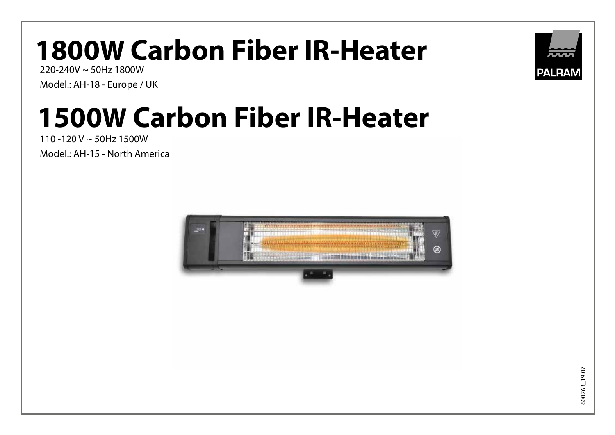# **1800W Carbon Fiber IR-Heater**

220-240V ~ 50Hz 1800W Model.: AH-18 - Europe / UK

# **1500W Carbon Fiber IR-Heater**

110 -120 V ~ 50Hz 1500W Model.: AH-15 - North America



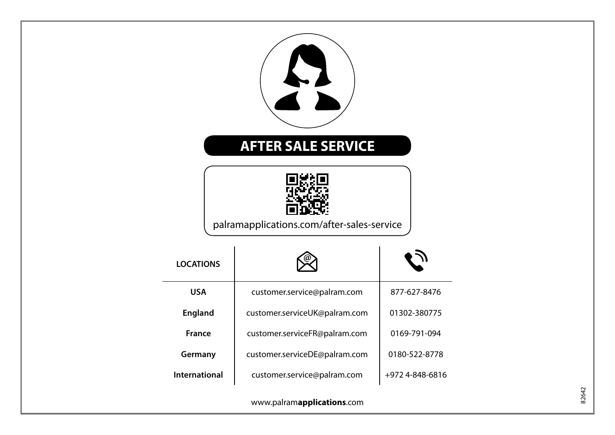| <b>AFTER SALE SERVICE</b><br>palramapplications.com/after-sales-service |                  |                               |                 |  |       |
|-------------------------------------------------------------------------|------------------|-------------------------------|-----------------|--|-------|
|                                                                         | <b>LOCATIONS</b> |                               |                 |  |       |
|                                                                         | <b>USA</b>       | customer.service@palram.com   | 877-627-8476    |  |       |
|                                                                         | <b>England</b>   | customer.serviceUK@palram.com | 01302-380775    |  |       |
|                                                                         | France           | customer.serviceFR@palram.com | 0169-791-094    |  |       |
|                                                                         | Germany          | customer.serviceDE@palram.com | 0180-522-8778   |  |       |
|                                                                         | International    | customer.service@palram.com   | +972 4-848-6816 |  |       |
| www.palramapplications.com                                              |                  |                               |                 |  | 82642 |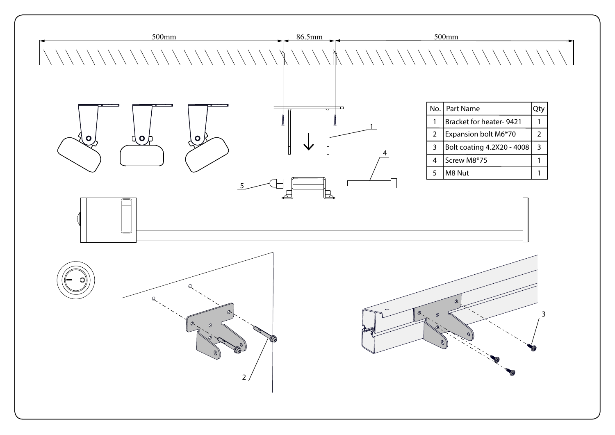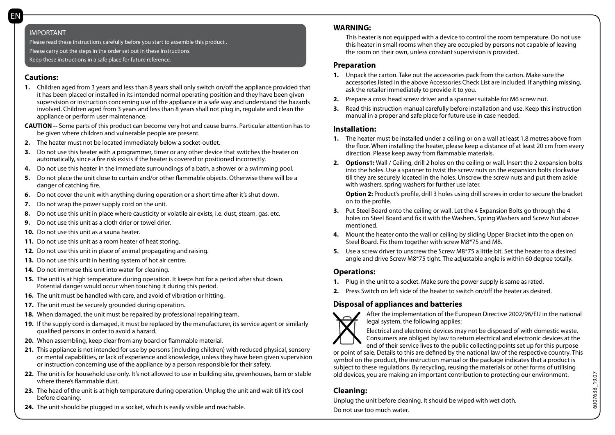#### IMPORTANT

Please read these instructions carefully before you start to assemble this product . Please carry out the steps in the order set out in these instructions. Keep these instructions in a safe place for future reference.

## **Cautions:**

- **1.** Children aged from 3 years and less than 8 years shall only switch on/off the appliance provided that it has been placed or installed in its intended normal operating position and they have been given supervision or instruction concerning use of the appliance in a safe way and understand the hazards involved. Children aged from 3 years and less than 8 years shall not plug in, regulate and clean the appliance or perform user maintenance.
- **CAUTION --** Some parts of this product can become very hot and cause burns. Particular attention has to be given where children and vulnerable people are present.
- **2.** The heater must not be located immediately below a socket-outlet.
- **3.** Do not use this heater with a programmer, timer or any other device that switches the heater on automatically, since a fire risk exists if the heater is covered or positioned incorrectly.
- **4.** Do not use this heater in the immediate surroundings of a bath, a shower or a swimming pool.
- **5.** Do not place the unit close to curtain and/or other flammable objects. Otherwise there will be a danger of catching fire.
- **6.** Do not cover the unit with anything during operation or a short time after it's shut down.
- **7.** Do not wrap the power supply cord on the unit.
- **8.** Do not use this unit in place where causticity or volatile air exists, i.e. dust, steam, gas, etc.
- **9.** Do not use this unit as a cloth drier or towel drier.
- **10.** Do not use this unit as a sauna heater.
- **11.** Do not use this unit as a room heater of heat storing.
- **12.** Do not use this unit in place of animal propagating and raising.
- **13.** Do not use this unit in heating system of hot air centre.
- **14.** Do not immerse this unit into water for cleaning.
- **15.** The unit is at high temperature during operation. It keeps hot for a period after shut down. Potential danger would occur when touching it during this period.
- **16.** The unit must be handled with care, and avoid of vibration or hitting.
- **17.** The unit must be securely grounded during operation.
- **18.** When damaged, the unit must be repaired by professional repairing team.
- **19.** If the supply cord is damaged, it must be replaced by the manufacturer, its service agent or similarly qualified persons in order to avoid a hazard.
- **20.** When assembling, keep clear from any board or flammable material.
- **21.** This appliance is not intended for use by persons (including children) with reduced physical, sensory or mental capabilities, or lack of experience and knowledge, unless they have been given supervision or instruction concerning use of the appliance by a person responsible for their safety.
- **22.** The unit is for household use only. It's not allowed to use in building site, greenhouses, barn or stable where there's flammable dust.
- **23.** The head of the unit is at high temperature during operation. Unplug the unit and wait till it's cool before cleaning.
- **24.** The unit should be plugged in a socket, which is easily visible and reachable.

## **WARNING:**

This heater is not equipped with a device to control the room temperature. Do not use this heater in small rooms when they are occupied by persons not capable of leaving the room on their own, unless constant supervision is provided.

## **Preparation**

- **1.** Unpack the carton. Take out the accessories pack from the carton. Make sure the accessories listed in the above Accessories Check List are included. If anything missing, ask the retailer immediately to provide it to you.
- **2.** Prepare a cross head screw driver and a spanner suitable for M6 screw nut.
- **3.** Read this instruction manual carefully before installation and use. Keep this instruction manual in a proper and safe place for future use in case needed.

## **Installation:**

- **1.** The heater must be installed under a ceiling or on a wall at least 1.8 metres above from the floor. When installing the heater, please keep a distance of at least 20 cm from every direction. Please keep away from flammable materials.
- **2. Options1:** Wall / Ceiling, drill 2 holes on the ceiling or wall. Insert the 2 expansion bolts into the holes. Use a spanner to twist the screw nuts on the expansion bolts clockwise till they are securely located in the holes. Unscrew the screw nuts and put them aside with washers, spring washers for further use later.

**Option 2:** Product's profile, drill 3 holes using drill screws in order to secure the bracket on to the profile.

- **3.** Put Steel Board onto the ceiling or wall. Let the 4 Expansion Bolts go through the 4 holes on Steel Board and fix it with the Washers, Spring Washers and Screw Nut above mentioned.
- **4.** Mount the heater onto the wall or ceiling by sliding Upper Bracket into the open on Steel Board. Fix them together with screw M8\*75 and M8.
- **5.** Use a screw driver to unscrew the Screw M8\*75 a little bit. Set the heater to a desired angle and drive Screw M8\*75 tight. The adjustable angle is within 60 degree totally.

# **Operations:**

- **1.** Plug in the unit to a socket. Make sure the power supply is same as rated.
- **2.** Press Switch on left side of the heater to switch on/off the heater as desired.

# **Disposal of appliances and batteries**



After the implementation of the European Directive 2002/96/EU in the national legal system, the following applies:

Electrical and electronic devices may not be disposed of with domestic waste. Consumers are obliged by law to return electrical and electronic devices at the end of their service lives to the public collecting points set up for this purpose

or point of sale. Details to this are defined by the national law of the respective country. This symbol on the product, the instruction manual or the package indicates that a product is subject to these regulations. By recycling, reusing the materials or other forms of utilising old devices, you are making an important contribution to protecting our environment.

# **Cleaning:**

Unplug the unit before cleaning. It should be wiped with wet cloth. Do not use too much water.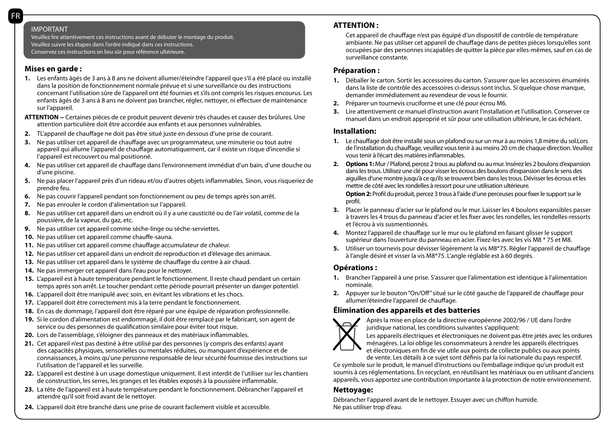Veuillez lire attentivement ces instructions avant de débuter le montage du produit. Veuillez suivre les étapes dans l'ordre indiqué dans ces instructions. Conservez ces instructions en lieu sûr pour référence ultérieure.

### **Mises en garde :**

- **1.** Les enfants âgés de 3 ans à 8 ans ne doivent allumer/éteindre l'appareil que s'il a été placé ou installé dans la position de fonctionnement normale prévue et si une surveillance ou des instructions concernant l'utilisation sûre de l'appareil ont été fournies et s'ils ont compris les risques encourus. Les enfants âgés de 3 ans à 8 ans ne doivent pas brancher, régler, nettoyer, ni effectuer de maintenance sur l'appareil.
- **ATTENTION --** Certaines pièces de ce produit peuvent devenir très chaudes et causer des brûlures. Une attention particulière doit être accordée aux enfants et aux personnes vulnérables.
- **2.** TL'appareil de chauffage ne doit pas être situé juste en dessous d'une prise de courant.
- **3.** Ne pas utiliser cet appareil de chauffage avec un programmateur, une minuterie ou tout autre appareil qui allume l'appareil de chauffage automatiquement, car il existe un risque d'incendie si l'appareil est recouvert ou mal positionné.
- **4.** Ne pas utiliser cet appareil de chauffage dans l'environnement immédiat d'un bain, d'une douche ou d'une piscine.
- **5.** Ne pas placer l'appareil près d'un rideau et/ou d'autres objets inflammables. Sinon, vous risqueriez de prendre feu.
- **6.** Ne pas couvrir l'appareil pendant son fonctionnement ou peu de temps après son arrêt.
- **7.** Ne pas enrouler le cordon d'alimentation sur l'appareil.
- 8. Ne pas utiliser cet appareil dans un endroit où il y a une causticité ou de l'air volatil, comme de la poussière, de la vapeur, du gaz, etc.
- **9.** Ne pas utiliser cet appareil comme sèche-linge ou sèche-serviettes.
- **10.** Ne pas utiliser cet appareil comme chauffe-sauna.
- **11.** Ne pas utiliser cet appareil comme chauffage accumulateur de chaleur.
- **12.** Ne pas utiliser cet appareil dans un endroit de reproduction et d'élevage des animaux.
- **13.** Ne pas utiliser cet appareil dans le système de chauffage du centre à air chaud.
- **14.** Ne pas immerger cet appareil dans l'eau pour le nettoyer.
- **15.** L'appareil est à haute température pendant le fonctionnement. Il reste chaud pendant un certain temps après son arrêt. Le toucher pendant cette période pourrait présenter un danger potentiel.
- **16.** L'appareil doit être manipulé avec soin, en évitant les vibrations et les chocs.
- **17.** L'appareil doit être correctement mis à la terre pendant le fonctionnement.
- **18.** En cas de dommage, l'appareil doit être réparé par une équipe de réparation professionnelle.
- **19.** Si le cordon d'alimentation est endommagé, il doit être remplacé par le fabricant, son agent de service ou des personnes de qualification similaire pour éviter tout risque.
- **20.** Lors de l'assemblage, s'éloigner des panneaux et des matériaux inflammables.
- **21.** Cet appareil n'est pas destiné à être utilisé par des personnes (y compris des enfants) ayant des capacités physiques, sensorielles ou mentales réduites, ou manquant d'expérience et de connaissances, à moins qu'une personne responsable de leur sécurité fournisse des instructions sur l'utilisation de l'appareil et les surveille.
- **22.** L'appareil est destiné à un usage domestique uniquement. Il est interdit de l'utiliser sur les chantiers de construction, les serres, les granges et les étables exposés à la poussière inflammable.
- **23.** La tête de l'appareil est à haute température pendant le fonctionnement. Débrancher l'appareil et attendre qu'il soit froid avant de le nettoyer.
- **24.** L'appareil doit être branché dans une prise de courant facilement visible et accessible.

## **ATTENTION :**

Cet appareil de chauffage n'est pas équipé d'un dispositif de contrôle de température ambiante. Ne pas utiliser cet appareil de chauffage dans de petites pièces lorsqu'elles sont occupées par des personnes incapables de quitter la pièce par elles-mêmes, sauf en cas de surveillance constante.

## **Préparation :**

- **1.** Déballer le carton. Sortir les accessoires du carton. S'assurer que les accessoires énumérés dans la liste de contrôle des accessoires ci-dessus sont inclus. Si quelque chose manque, demander immédiatement au revendeur de vous le fournir.
- **2.** Préparer un tournevis cruciforme et une clé pour écrou M6.
- **3.** Lire attentivement ce manuel d'instruction avant l'installation et l'utilisation. Conserver ce manuel dans un endroit approprié et sûr pour une utilisation ultérieure, le cas échéant.

## **Installation:**

- **1.** Le chauffage doit être installé sous un plafond ou sur un mur à au moins 1,8 mètre du sol.Lors de l'installation du chauffage, veuillez vous tenir à au moins 20 cm de chaque direction. Veuillez vous tenir à l'écart des matières inflammables.
- **2. Options 1:** Mur / Plafond, percez 2 trous au plafond ou au mur. Insérez les 2 boulons d'expansion dans les trous. Utilisez une clé pour visser les écrous des boulons d'expansion dans le sens des aiguilles d'une montre jusqu'à ce qu'ils se trouvent bien dans les trous. Dévisser les écrous et les mettre de côté avec les rondelles à ressort pour une utilisation ultérieure.

**Option 2:** Profil du produit, percez 3 trous à l'aide d'une perceuses pour fixer le support sur le profil.

- **3.** Placer le panneau d'acier sur le plafond ou le mur. Laisser les 4 boulons expansibles passer à travers les 4 trous du panneau d'acier et les fixer avec les rondelles, les rondelles-ressorts et l'écrou à vis susmentionnés.
- **4.** Montez l'appareil de chauffage sur le mur ou le plafond en faisant glisser le support supérieur dans l'ouverture du panneau en acier. Fixez-les avec les vis M8 \* 75 et M8.
- **5.** Utiliser un tournevis pour dévisser légèrement la vis M8\*75. Régler l'appareil de chauffage à l'angle désiré et visser la vis M8\*75. L'angle réglable est à 60 degrés.

## **Opérations :**

- **1.** Brancher l'appareil à une prise. S'assurer que l'alimentation est identique à l'alimentation nominale.
- **2.** Appuyer sur le bouton "On/Off" situé sur le côté gauche de l'appareil de chauffage pour allumer/éteindre l'appareil de chauffage.

## **Élimination des appareils et des batteries**



Après la mise en place de la directive européenne 2002/96 / UE dans l'ordre juridique national, les conditions suivantes s'appliquent:

Les appareils électriques et électroniques ne doivent pas être jetés avec les ordures ménagères. La loi oblige les consommateurs à rendre les appareils électriques et électroniques en fin de vie utile aux points de collecte publics ou aux points

de vente. Les détails à ce sujet sont définis par la loi nationale du pays respectif.

Ce symbole sur le produit, le manuel d'instructions ou l'emballage indique qu'un produit est soumis à ces réglementations. En recyclant, en réutilisant les matériaux ou en utilisant d'anciens appareils, vous apportez une contribution importante à la protection de notre environnement.

## **Nettoyage:**

Débrancher l'appareil avant de le nettoyer. Essuyer avec un chiffon humide. Ne pas utiliser trop d'eau.

FR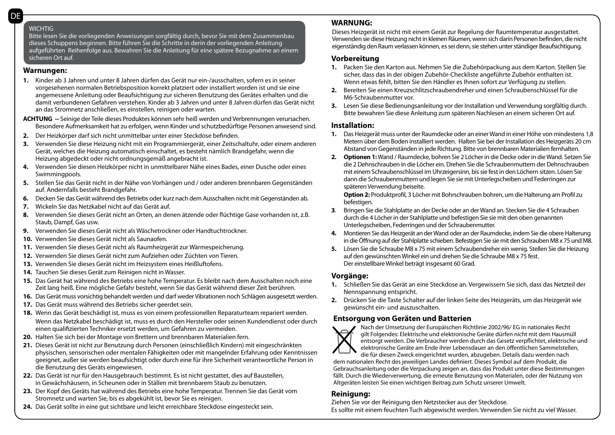#### **WICHTIG**

Bitte lesen Sie die vorliegenden Anweisungen sorgfältig durch, bevor Sie mit dem Zusammenbau dieses Schuppens beginnen. Bitte führen Sie die Schritte in derin der vorliegenden Anleitung aufgeführten Reihenfolge aus. Bewahren Sie die Anleitung für eine spätere Bezugnahme an einem sicheren Ort auf.

#### **Warnungen:**

**1.** Kinder ab 3 Jahren und unter 8 Jahren dürfen das Gerät nur ein-/ausschalten, sofern es in seiner vorgesehenen normalen Betriebsposition korrekt platziert oder installiert worden ist und sie eine angemessene Anleitung oder Beaufsichtigung zur sicheren Benutzung des Gerätes erhalten und die damit verbundenen Gefahren verstehen. Kinder ab 3 Jahren und unter 8 Jahren dürfen das Gerät nicht an das Stromnetz anschließen, es einstellen, reinigen oder warten.

**ACHTUNG --** Seinige der Teile dieses Produktes können sehr heiß werden und Verbrennungen verursachen. Besondere Aufmerksamkeit hat zu erfolgen, wenn Kinder und schutzbedürftige Personen anwesend sind.

- **2.** Der Heizkörper darf sich nicht unmittelbar unter einer Steckdose befinden.
- **3.** Verwenden Sie diese Heizung nicht mit ein Programmiergerät, einer Zeitschaltuhr, oder einem anderen Gerät, welches die Heizung automatisch einschaltet, es besteht nämlich Brandgefahr, wenn die Heizung abgedeckt oder nicht ordnungsgemäß angebracht ist.
- **4.** Verwenden Sie diesen Heizkörper nicht in unmittelbarer Nähe eines Bades, einer Dusche oder eines Swimmingpools.
- **5.** Stellen Sie das Gerät nicht in der Nähe von Vorhängen und / oder anderen brennbaren Gegenständen auf. Andernfalls besteht Brandgefahr.
- **6.** Decken Sie das Gerät während des Betriebs oder kurz nach dem Ausschalten nicht mit Gegenständen ab.
- **7.** Wickeln Sie das Netzkabel nicht auf das Gerät auf.
- **8.** Verwenden Sie dieses Gerät nicht an Orten, an denen ätzende oder flüchtige Gase vorhanden ist, z.B. Staub, Dampf, Gas usw.
- **9.** Verwenden Sie dieses Gerät nicht als Wäschetrockner oder Handtuchtrockner.
- **10.** Verwenden Sie dieses Gerät nicht als Saunaofen.
- **11.** Verwenden Sie dieses Gerät nicht als Raumheizgerät zur Wärmespeicherung.
- **12.** Verwenden Sie dieses Gerät nicht zum Aufziehen oder Züchten von Tieren.
- **13.** Verwenden Sie dieses Gerät nicht im Heizsystem eines Heißluftofens.
- **14.** Tauchen Sie dieses Gerät zum Reinigen nicht in Wasser.
- **15.** Das Gerät hat während des Betriebs eine hohe Temperatur. Es bleibt nach dem Ausschalten noch eine Zeit lang heiß. Eine mögliche Gefahr besteht, wenn Sie das Gerät während dieser Zeit berühren.
- **16.** Das Gerät muss vorsichtig behandelt werden und darf weder Vibrationen noch Schlägen ausgesetzt werden.
- **17.** Das Gerät muss während des Betriebs sicher geerdet sein.
- **18.** Wenn das Gerät beschädigt ist, muss es von einem professionellen Reparaturteam repariert werden. Wenn das Netzkabel beschädigt ist, muss es durch den Hersteller oder seinen Kundendienst oder durch einen qualifizierten Techniker ersetzt werden, um Gefahren zu vermeiden.
- **20.** Halten Sie sich bei der Montage von Brettern und brennbaren Materialien fern.
- **21.** Dieses Gerät ist nicht zur Benutzung durch Personen (einschließlich Kindern) mit eingeschränkten physischen, sensorischen oder mentalen Fähigkeiten oder mit mangelnder Erfahrung oder Kenntnissen geeignet, außer sie werden beaufsichtigt oder durch eine für ihre Sicherheit verantwortliche Person in die Benutzung des Geräts eingewiesen.
- **22.** Das Gerät ist nur für den Hausgebrauch bestimmt. Es ist nicht gestattet, dies auf Baustellen, in Gewächshäusern, in Scheunen oder in Ställen mit brennbarem Staub zu benutzen.
- **23.** Der Kopf des Geräts hat während des Betriebs eine hohe Temperatur. Trennen Sie das Gerät vom Stromnetz und warten Sie, bis es abgekühlt ist, bevor Sie es reinigen.
- **24.** Das Gerät sollte in eine gut sichtbare und leicht erreichbare Steckdose eingesteckt sein.

## **WARNUNG:**

Dieses Heizgerät ist nicht mit einem Gerät zur Regelung der Raumtemperatur ausgestattet. Verwenden sie diese Heizung nicht in kleinen Räumen, wenn sich darin Personen befinden, die nicht eigenständig den Raum verlassen können, es sei denn, sie stehen unter ständiger Beaufsichtigung.

#### **Vorbereitung**

- **1.** Packen Sie den Karton aus. Nehmen Sie die Zubehörpackung aus dem Karton. Stellen Sie sicher, dass das in der obigen Zubehör-Checkliste angeführte Zubehör enthalten ist. Wenn etwas fehlt, bitten Sie den Händler es Ihnen sofort zur Verfügung zu stellen.
- **2.** Bereiten Sie einen Kreuzschlitzschraubendreher und einen Schraubenschlüssel für die M6-Schraubenmutter vor.
- **3.** Lesen Sie diese Bedienungsanleitung vor der Installation und Verwendung sorgfältig durch. Bitte bewahren Sie diese Anleitung zum späteren Nachlesen an einem sicheren Ort auf.

#### **Installation:**

- **1.** Das Heizgerät muss unter der Raumdecke oder an einer Wand in einer Höhe von mindestens 1,8 Metern über dem Boden installiert werden. Halten Sie bei der Installation des Heizgeräts 20 cm Abstand von Gegenständen in jede Richtung. Bitte von brennbaren Materialien fernhalten.
- **2. Optionen 1:** Wand / Raumdecke, bohren Sie 2 Löcher in die Decke oder in die Wand. Setzen Sie die 2 Dehnschrauben in die Löcher ein. Drehen Sie die Schraubenmuttern der Dehnschrauben mit einem Schraubenschlüssel im Uhrzeigersinn, bis sie fest in den Löchern sitzen. Lösen Sie dann die Schraubenmuttern und legen Sie sie mit Unterlegscheiben und Federringen zur späteren Verwendung beiseite.

**Option 2:** Produktprofil, 3 Löcher mit Bohrschrauben bohren, um die Halterung am Profil zu befestigen.

- **3**. Bringen Sie die Stahlplatte an der Decke oder an der Wand an. Stecken Sie die 4 Schrauben durch die 4 Löcher in der Stahlplatte und befestigen Sie sie mit den oben genannten Unterlegscheiben, Federringen und der Schraubenmutter.
- **4.** Montieren Sie das Heizgerät an der Wand oder an der Raumdecke, indem Sie die obere Halterung in die Öffnung auf der Stahlplatte schieben. Befestigen Sie sie mit den Schrauben M8 x 75 und M8.
- **5.** Lösen Sie die Schraube M8 x 75 mit einem Schraubendreher ein wenig. Stellen Sie die Heizung auf den gewünschten Winkel ein und drehen Sie die Schraube M8 x 75 fest. Der einstellbare Winkel beträgt insgesamt 60 Grad.

## **Vorgänge:**

- **1.** Schließen Sie das Gerät an eine Steckdose an. Vergewissern Sie sich, dass das Netzteil der Nennspannung entspricht.
- **2.** Drücken Sie die Taste Schalter auf der linken Seite des Heizgeräts, um das Heizgerät wie gewünscht ein- und auszuschalten.

## **Entsorgung von Geräten und Batterien**



Nach der Umsetzung der Europäischen Richtlinie 2002/96/ EG in nationales Recht gilt Folgendes: Elektrische und elektronische Geräte dürfen nicht mit dem Hausmüll entsorgt werden. Die Verbraucher werden durch das Gesetz verpflichtet, elektrische und elektronische Geräte am Ende ihrer Lebensdauer an den öffentlichen Sammelstellen,

die für diesen Zweck eingerichtet wurden, abzugeben. Details dazu werden nach dem nationalen Recht des jeweiligen Landes definiert. Dieses Symbol auf dem Produkt, die Gebrauchsanleitung oder die Verpackung zeigen an, dass das Produkt unter diese Bestimmungen fällt. Durch die Wiederverwertung, die erneute Benutzung von Materialen, oder der Nutzung von Altgeräten leisten Sie einen wichtigen Beitrag zum Schutz unserer Umwelt.

## **Reinigung:**

Ziehen Sie vor der Reinigung den Netzstecker aus der Steckdose. Es sollte mit einem feuchten Tuch abgewischt werden. Verwenden Sie nicht zu viel Wasser.

DE